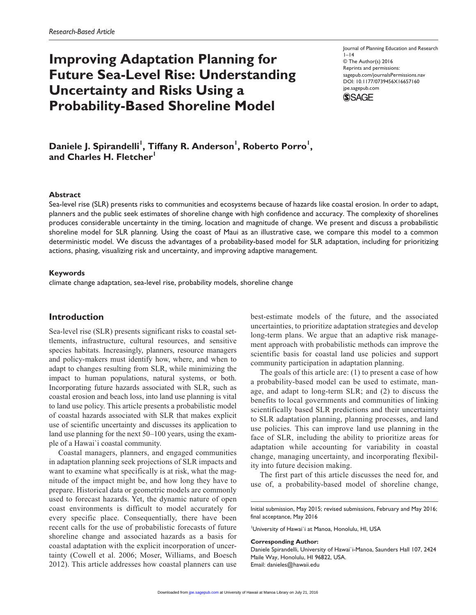# **Improving Adaptation Planning for Future Sea-Level Rise: Understanding Uncertainty and Risks Using a Probability-Based Shoreline Model**

Journal of Planning Education and Research  $I-I4$ © The Author(s) 2016 Reprints and permissions: sagepub.com/journalsPermissions.nav DOI: 10.1177/0739456X16657160 jpe.sagepub.com



Daniele J. Spirandelli<sup>!</sup>, Tiffany R. Anderson<sup>!</sup>, Roberto Porro<sup>!</sup>, and Charles H. Fletcher<sup>1</sup>

#### **Abstract**

Sea-level rise (SLR) presents risks to communities and ecosystems because of hazards like coastal erosion. In order to adapt, planners and the public seek estimates of shoreline change with high confidence and accuracy. The complexity of shorelines produces considerable uncertainty in the timing, location and magnitude of change. We present and discuss a probabilistic shoreline model for SLR planning. Using the coast of Maui as an illustrative case, we compare this model to a common deterministic model. We discuss the advantages of a probability-based model for SLR adaptation, including for prioritizing actions, phasing, visualizing risk and uncertainty, and improving adaptive management.

#### **Keywords**

climate change adaptation, sea-level rise, probability models, shoreline change

## **Introduction**

Sea-level rise (SLR) presents significant risks to coastal settlements, infrastructure, cultural resources, and sensitive species habitats. Increasingly, planners, resource managers and policy-makers must identify how, where, and when to adapt to changes resulting from SLR, while minimizing the impact to human populations, natural systems, or both. Incorporating future hazards associated with SLR, such as coastal erosion and beach loss, into land use planning is vital to land use policy. This article presents a probabilistic model of coastal hazards associated with SLR that makes explicit use of scientific uncertainty and discusses its application to land use planning for the next 50–100 years, using the example of a Hawai`i coastal community.

Coastal managers, planners, and engaged communities in adaptation planning seek projections of SLR impacts and want to examine what specifically is at risk, what the magnitude of the impact might be, and how long they have to prepare. Historical data or geometric models are commonly used to forecast hazards. Yet, the dynamic nature of open coast environments is difficult to model accurately for every specific place. Consequentially, there have been recent calls for the use of probabilistic forecasts of future shoreline change and associated hazards as a basis for coastal adaptation with the explicit incorporation of uncertainty (Cowell et al. 2006; Moser, Williams, and Boesch 2012). This article addresses how coastal planners can use best-estimate models of the future, and the associated uncertainties, to prioritize adaptation strategies and develop long-term plans. We argue that an adaptive risk management approach with probabilistic methods can improve the scientific basis for coastal land use policies and support community participation in adaptation planning.

The goals of this article are: (1) to present a case of how a probability-based model can be used to estimate, manage, and adapt to long-term SLR; and (2) to discuss the benefits to local governments and communities of linking scientifically based SLR predictions and their uncertainty to SLR adaptation planning, planning processes, and land use policies. This can improve land use planning in the face of SLR, including the ability to prioritize areas for adaptation while accounting for variability in coastal change, managing uncertainty, and incorporating flexibility into future decision making.

The first part of this article discusses the need for, and use of, a probability-based model of shoreline change,

Initial submission, May 2015; revised submissions, February and May 2016; final acceptance, May 2016

<sup>1</sup>University of Hawai`i at Manoa, Honolulu, HI, USA

**Corresponding Author:**

Daniele Spirandelli, University of Hawai`i-Manoa, Saunders Hall 107, 2424 Maile Way, Honolulu, HI 96822, USA. Email: [danieles@hawaii.edu](mailto:danieles@hawaii.edu)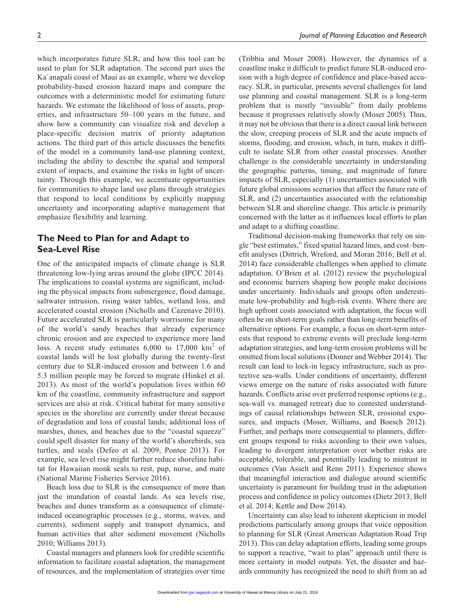which incorporates future SLR, and how this tool can be used to plan for SLR adaptation. The second part uses the Ka`anapali coast of Maui as an example, where we develop probability-based erosion hazard maps and compare the outcomes with a deterministic model for estimating future hazards. We estimate the likelihood of loss of assets, properties, and infrastructure 50–100 years in the future, and show how a community can visualize risk and develop a place-specific decision matrix of priority adaptation actions. The third part of this article discusses the benefits of the model in a community land-use planning context, including the ability to describe the spatial and temporal extent of impacts, and examine the risks in light of uncertainty. Through this example, we accentuate opportunities for communities to shape land use plans through strategies that respond to local conditions by explicitly mapping uncertainty and incorporating adaptive management that emphasize flexibility and learning.

# **The Need to Plan for and Adapt to Sea-Level Rise**

One of the anticipated impacts of climate change is SLR threatening low-lying areas around the globe (IPCC 2014). The implications to coastal systems are significant, including the physical impacts from submergence, flood damage, saltwater intrusion, rising water tables, wetland loss, and accelerated coastal erosion (Nicholls and Cazenave 2010). Future accelerated SLR is particularly worrisome for many of the world's sandy beaches that already experience chronic erosion and are expected to experience more land loss. A recent study estimates  $6,000$  to  $17,000$  km<sup>2</sup> of coastal lands will be lost globally during the twenty-first century due to SLR-induced erosion and between 1.6 and 5.3 million people may be forced to migrate (Hinkel et al. 2013). As most of the world's population lives within 60 km of the coastline, community infrastructure and support services are also at risk. Critical habitat for many sensitive species in the shoreline are currently under threat because of degradation and loss of coastal lands; additional loss of marshes, dunes, and beaches due to the "coastal squeeze" could spell disaster for many of the world's shorebirds, sea turtles, and seals (Defeo et al. 2009; Pontee 2013). For example, sea level rise might further reduce shoreline habitat for Hawaiian monk seals to rest, pup, nurse, and mate (National Marine Fisheries Service 2016).

Beach loss due to SLR is the consequence of more than just the inundation of coastal lands. As sea levels rise, beaches and dunes transform as a consequence of climateinduced oceanographic processes (e.g., storms, waves, and currents), sediment supply and transport dynamics, and human activities that alter sediment movement (Nicholls 2010; Williams 2013).

Coastal managers and planners look for credible scientific information to facilitate coastal adaptation, the management of resources, and the implementation of strategies over time

(Tribbia and Moser 2008). However, the dynamics of a coastline make it difficult to predict future SLR-induced erosion with a high degree of confidence and place-based accuracy. SLR, in particular, presents several challenges for land use planning and coastal management. SLR is a long-term problem that is mostly "invisible" from daily problems because it progresses relatively slowly (Moser 2005). Thus, it may not be obvious that there is a direct causal link between the slow, creeping process of SLR and the acute impacts of storms, flooding, and erosion, which, in turn, makes it difficult to isolate SLR from other coastal processes. Another challenge is the considerable uncertainty in understanding the geographic patterns, timing, and magnitude of future impacts of SLR, especially (1) uncertainties associated with future global emissions scenarios that affect the future rate of SLR, and (2) uncertainties associated with the relationship between SLR and shoreline change. This article is primarily concerned with the latter as it influences local efforts to plan and adapt to a shifting coastline.

Traditional decision-making frameworks that rely on single "best estimates," fixed spatial hazard lines, and cost–benefit analyses (Dittrich, Wreford, and Moran 2016; Bell et al. 2014) face considerable challenges when applied to climate adaptation. O'Brien et al. (2012) review the psychological and economic barriers shaping how people make decisions under uncertainty. Individuals and groups often underestimate low-probability and high-risk events. Where there are high upfront costs associated with adaptation, the focus will often be on short-term goals rather than long-term benefits of alternative options. For example, a focus on short-term interests that respond to extreme events will preclude long-term adaptation strategies, and long-term erosion problems will be omitted from local solutions (Donner and Webber 2014). The result can lead to lock-in legacy infrastructure, such as protective sea-walls. Under conditions of uncertainty, different views emerge on the nature of risks associated with future hazards. Conflicts arise over preferred response options (e.g., sea-wall vs. managed retreat) due to contested understandings of causal relationships between SLR, erosional exposures, and impacts (Moser, Williams, and Boesch 2012). Further, and perhaps more consequential to planners, different groups respond to risks according to their own values, leading to divergent interpretation over whether risks are acceptable, tolerable, and potentially leading to mistrust in outcomes (Van Asselt and Renn 2011). Experience shows that meaningful interaction and dialogue around scientific uncertainty is paramount for building trust in the adaptation process and confidence in policy outcomes (Dietz 2013; Bell et al. 2014; Kettle and Dow 2014).

Uncertainty can also lead to inherent skepticism in model predictions particularly among groups that voice opposition to planning for SLR (Great American Adaptation Road Trip 2013). This can delay adaptation efforts, leading some groups to support a reactive, "wait to plan" approach until there is more certainty in model outputs. Yet, the disaster and hazards community has recognized the need to shift from an ad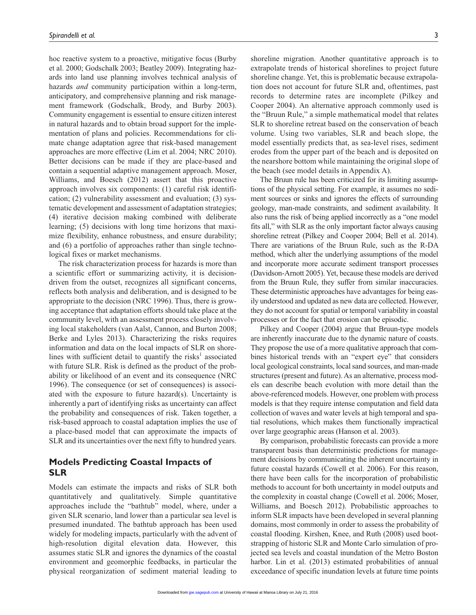hoc reactive system to a proactive, mitigative focus (Burby et al. 2000; Godschalk 2003; Beatley 2009). Integrating hazards into land use planning involves technical analysis of hazards *and* community participation within a long-term, anticipatory, and comprehensive planning and risk management framework (Godschalk, Brody, and Burby 2003). Community engagement is essential to ensure citizen interest in natural hazards and to obtain broad support for the implementation of plans and policies. Recommendations for climate change adaptation agree that risk-based management approaches are more effective (Lim et al. 2004; NRC 2010). Better decisions can be made if they are place-based and contain a sequential adaptive management approach. Moser, Williams, and Boesch (2012) assert that this proactive approach involves six components: (1) careful risk identification; (2) vulnerability assessment and evaluation; (3) systematic development and assessment of adaptation strategies; (4) iterative decision making combined with deliberate learning; (5) decisions with long time horizons that maximize flexibility, enhance robustness, and ensure durability; and (6) a portfolio of approaches rather than single technological fixes or market mechanisms.

The risk characterization process for hazards is more than a scientific effort or summarizing activity, it is decisiondriven from the outset, recognizes all significant concerns, reflects both analysis and deliberation, and is designed to be appropriate to the decision (NRC 1996). Thus, there is growing acceptance that adaptation efforts should take place at the community level, with an assessment process closely involving local stakeholders (van Aalst, Cannon, and Burton 2008; Berke and Lyles 2013). Characterizing the risks requires information and data on the local impacts of SLR on shorelines with sufficient detail to quantify the risks<sup>1</sup> associated with future SLR. Risk is defined as the product of the probability or likelihood of an event and its consequence (NRC 1996). The consequence (or set of consequences) is associated with the exposure to future hazard(s). Uncertainty is inherently a part of identifying risks as uncertainty can affect the probability and consequences of risk. Taken together, a risk-based approach to coastal adaptation implies the use of a place-based model that can approximate the impacts of SLR and its uncertainties over the next fifty to hundred years.

# **Models Predicting Coastal Impacts of SLR**

Models can estimate the impacts and risks of SLR both quantitatively and qualitatively. Simple quantitative approaches include the "bathtub" model, where, under a given SLR scenario, land lower than a particular sea level is presumed inundated. The bathtub approach has been used widely for modeling impacts, particularly with the advent of high-resolution digital elevation data. However, this assumes static SLR and ignores the dynamics of the coastal environment and geomorphic feedbacks, in particular the physical reorganization of sediment material leading to

shoreline migration. Another quantitative approach is to extrapolate trends of historical shorelines to project future shoreline change. Yet, this is problematic because extrapolation does not account for future SLR and, oftentimes, past records to determine rates are incomplete (Pilkey and Cooper 2004). An alternative approach commonly used is the "Bruun Rule," a simple mathematical model that relates SLR to shoreline retreat based on the conservation of beach volume. Using two variables, SLR and beach slope, the model essentially predicts that, as sea-level rises, sediment erodes from the upper part of the beach and is deposited on the nearshore bottom while maintaining the original slope of the beach (see model details in Appendix A).

The Bruun rule has been criticized for its limiting assumptions of the physical setting. For example, it assumes no sediment sources or sinks and ignores the effects of surrounding geology, man-made constraints, and sediment availability. It also runs the risk of being applied incorrectly as a "one model fits all," with SLR as the only important factor always causing shoreline retreat (Pilkey and Cooper 2004; Bell et al. 2014). There are variations of the Bruun Rule, such as the R-DA method, which alter the underlying assumptions of the model and incorporate more accurate sediment transport processes (Davidson-Arnott 2005). Yet, because these models are derived from the Bruun Rule, they suffer from similar inaccuracies. These deterministic approaches have advantages for being easily understood and updated as new data are collected. However, they do not account for spatial or temporal variability in coastal processes or for the fact that erosion can be episodic.

Pilkey and Cooper (2004) argue that Bruun-type models are inherently inaccurate due to the dynamic nature of coasts. They propose the use of a more qualitative approach that combines historical trends with an "expert eye" that considers local geological constraints, local sand sources, and man-made structures (present and future). As an alternative, process models can describe beach evolution with more detail than the above-referenced models. However, one problem with process models is that they require intense computation and field data collection of waves and water levels at high temporal and spatial resolutions, which makes them functionally impractical over large geographic areas (Hanson et al. 2003).

By comparison, probabilistic forecasts can provide a more transparent basis than deterministic predictions for management decisions by communicating the inherent uncertainty in future coastal hazards (Cowell et al. 2006). For this reason, there have been calls for the incorporation of probabilistic methods to account for both uncertainty in model outputs and the complexity in coastal change (Cowell et al. 2006; Moser, Williams, and Boesch 2012). Probabilistic approaches to inform SLR impacts have been developed in several planning domains, most commonly in order to assess the probability of coastal flooding. Kirshen, Knee, and Ruth (2008) used bootstrapping of historic SLR and Monte Carlo simulation of projected sea levels and coastal inundation of the Metro Boston harbor. Lin et al. (2013) estimated probabilities of annual exceedance of specific inundation levels at future time points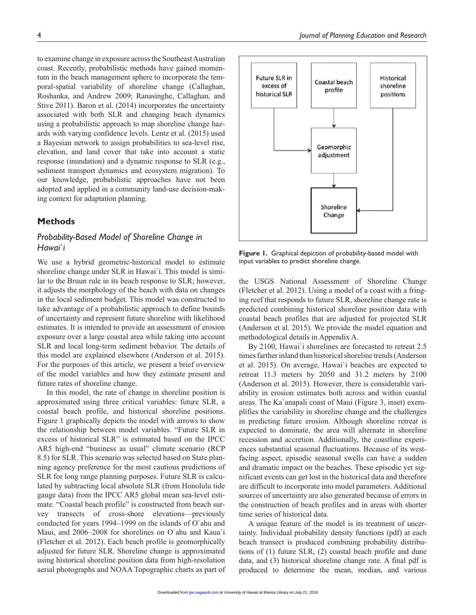to examine change in exposure across the Southeast Australian coast. Recently, probabilistic methods have gained momentum in the beach management sphere to incorporate the temporal-spatial variability of shoreline change (Callaghan, Roshanka, and Andrew 2009; Ranasinghe, Callaghan, and Stive 2011). Baron et al. (2014) incorporates the uncertainty associated with both SLR and changing beach dynamics using a probabilistic approach to map shoreline change hazards with varying confidence levels. Lentz et al. (2015) used a Bayesian network to assign probabilities to sea-level rise, elevation, and land cover that take into account a static response (inundation) and a dynamic response to SLR (e.g., sediment transport dynamics and ecosystem migration). To our knowledge, probabilistic approaches have not been adopted and applied in a community land-use decision-making context for adaptation planning.

### **Methods**

# *Probability-Based Model of Shoreline Change in Hawai`i*

We use a hybrid geometric-historical model to estimate shoreline change under SLR in Hawai`i. This model is similar to the Bruun rule in its beach response to SLR; however, it adjusts the morphology of the beach with data on changes in the local sediment budget. This model was constructed to take advantage of a probabilistic approach to define bounds of uncertainty and represent future shoreline with likelihood estimates. It is intended to provide an assessment of erosion exposure over a large coastal area while taking into account SLR and local long-term sediment behavior. The details of this model are explained elsewhere (Anderson et al. 2015). For the purposes of this article, we present a brief overview of the model variables and how they estimate present and future rates of shoreline change.

In this model, the rate of change in shoreline position is approximated using three critical variables: future SLR, a coastal beach profile, and historical shoreline positions. Figure 1 graphically depicts the model with arrows to show the relationship between model variables. "Future SLR in excess of historical SLR" is estimated based on the IPCC AR5 high-end "business as usual" climate scenario (RCP 8.5) for SLR. This scenario was selected based on State planning agency preference for the most cautious predictions of SLR for long range planning purposes. Future SLR is calculated by subtracting local absolute SLR (from Honolulu tide gauge data) from the IPCC AR5 global mean sea-level estimate. "Coastal beach profile" is constructed from beach survey transects of cross-shore elevations—previously conducted for years 1994–1999 on the islands of O`ahu and Maui, and 2006–2008 for shorelines on O`ahu and Kaua`i (Fletcher et al. 2012). Each beach profile is geomorphically adjusted for future SLR. Shoreline change is approximated using historical shoreline position data from high-resolution aerial photographs and NOAA Topographic charts as part of



**Figure 1.** Graphical depiction of probability-based model with input variables to predict shoreline change.

the USGS National Assessment of Shoreline Change (Fletcher et al. 2012). Using a model of a coast with a fringing reef that responds to future SLR, shoreline change rate is predicted combining historical shoreline position data with coastal beach profiles that are adjusted for projected SLR (Anderson et al. 2015). We provide the model equation and methodological details in Appendix A.

By 2100, Hawai`i shorelines are forecasted to retreat 2.5 times farther inland than historical shoreline trends (Anderson et al. 2015). On average, Hawai`i beaches are expected to retreat 11.3 meters by 2050 and 31.2 meters by 2100 (Anderson et al. 2015). However, there is considerable variability in erosion estimates both across and within coastal areas. The Ka`anapali coast of Maui (Figure 3, inset) exemplifies the variability in shoreline change and the challenges in predicting future erosion. Although shoreline retreat is expected to dominate, the area will alternate in shoreline recession and accretion. Additionally, the coastline experiences substantial seasonal fluctuations. Because of its westfacing aspect, episodic seasonal swells can have a sudden and dramatic impact on the beaches. These episodic yet significant events can get lost in the historical data and therefore are difficult to incorporate into model parameters. Additional sources of uncertainty are also generated because of errors in the construction of beach profiles and in areas with shorter time series of historical data.

A unique feature of the model is its treatment of uncertainty. Individual probability density functions (pdf) at each beach transect is produced combining probability distributions of (1) future SLR, (2) coastal beach profile and dune data, and (3) historical shoreline change rate. A final pdf is produced to determine the mean, median, and various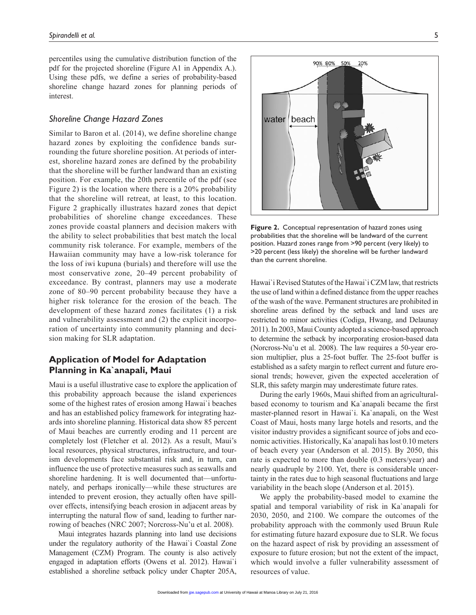percentiles using the cumulative distribution function of the pdf for the projected shoreline (Figure A1 in Appendix A.). Using these pdfs, we define a series of probability-based shoreline change hazard zones for planning periods of interest.

#### *Shoreline Change Hazard Zones*

Similar to Baron et al. (2014), we define shoreline change hazard zones by exploiting the confidence bands surrounding the future shoreline position. At periods of interest, shoreline hazard zones are defined by the probability that the shoreline will be further landward than an existing position. For example, the 20th percentile of the pdf (see Figure 2) is the location where there is a 20% probability that the shoreline will retreat, at least, to this location. Figure 2 graphically illustrates hazard zones that depict probabilities of shoreline change exceedances. These zones provide coastal planners and decision makers with the ability to select probabilities that best match the local community risk tolerance. For example, members of the Hawaiian community may have a low-risk tolerance for the loss of iwi kupuna (burials) and therefore will use the most conservative zone, 20–49 percent probability of exceedance. By contrast, planners may use a moderate zone of 80–90 percent probability because they have a higher risk tolerance for the erosion of the beach. The development of these hazard zones facilitates (1) a risk and vulnerability assessment and (2) the explicit incorporation of uncertainty into community planning and decision making for SLR adaptation.

# **Application of Model for Adaptation Planning in Ka`anapali, Maui**

Maui is a useful illustrative case to explore the application of this probability approach because the island experiences some of the highest rates of erosion among Hawai`i beaches and has an established policy framework for integrating hazards into shoreline planning. Historical data show 85 percent of Maui beaches are currently eroding and 11 percent are completely lost (Fletcher et al. 2012). As a result, Maui's local resources, physical structures, infrastructure, and tourism developments face substantial risk and, in turn, can influence the use of protective measures such as seawalls and shoreline hardening. It is well documented that—unfortunately, and perhaps ironically—while these structures are intended to prevent erosion, they actually often have spillover effects, intensifying beach erosion in adjacent areas by interrupting the natural flow of sand, leading to further narrowing of beaches (NRC 2007; Norcross-Nu'u et al. 2008).

Maui integrates hazards planning into land use decisions under the regulatory authority of the Hawai`i Coastal Zone Management (CZM) Program. The county is also actively engaged in adaptation efforts (Owens et al. 2012). Hawai`i established a shoreline setback policy under Chapter 205A,



**Figure 2.** Conceptual representation of hazard zones using probabilities that the shoreline will be landward of the current position. Hazard zones range from >90 percent (very likely) to >20 percent (less likely) the shoreline will be further landward than the current shoreline.

Hawai`i Revised Statutes of the Hawai`i CZM law, that restricts the use of land within a defined distance from the upper reaches of the wash of the wave. Permanent structures are prohibited in shoreline areas defined by the setback and land uses are restricted to minor activities (Codiga, Hwang, and Delaunay 2011). In 2003, Maui County adopted a science-based approach to determine the setback by incorporating erosion-based data (Norcross-Nu'u et al. 2008). The law requires a 50-year erosion multiplier, plus a 25-foot buffer. The 25-foot buffer is established as a safety margin to reflect current and future erosional trends; however, given the expected acceleration of SLR, this safety margin may underestimate future rates.

During the early 1960s, Maui shifted from an agriculturalbased economy to tourism and Ka`anapali became the first master-planned resort in Hawai`i. Ka`anapali, on the West Coast of Maui, hosts many large hotels and resorts, and the visitor industry provides a significant source of jobs and economic activities. Historically, Ka`anapali has lost 0.10 meters of beach every year (Anderson et al. 2015). By 2050, this rate is expected to more than double (0.3 meters/year) and nearly quadruple by 2100. Yet, there is considerable uncertainty in the rates due to high seasonal fluctuations and large variability in the beach slope (Anderson et al. 2015).

We apply the probability-based model to examine the spatial and temporal variability of risk in Ka`anapali for 2030, 2050, and 2100. We compare the outcomes of the probability approach with the commonly used Bruun Rule for estimating future hazard exposure due to SLR. We focus on the hazard aspect of risk by providing an assessment of exposure to future erosion; but not the extent of the impact, which would involve a fuller vulnerability assessment of resources of value.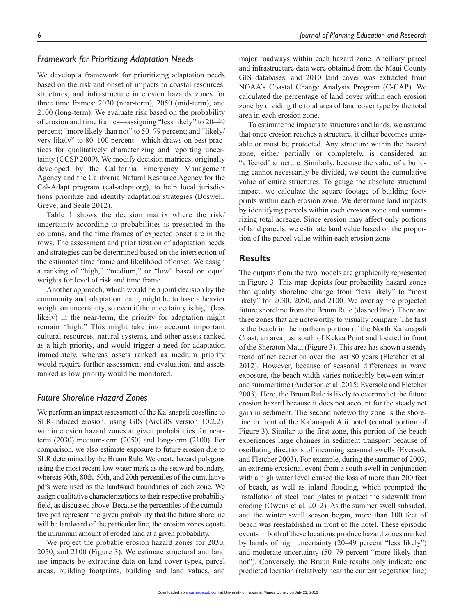### *Framework for Prioritizing Adaptation Needs*

We develop a framework for prioritizing adaptation needs based on the risk and onset of impacts to coastal resources, structures, and infrastructure in erosion hazards zones for three time frames: 2030 (near-term), 2050 (mid-term), and 2100 (long-term). We evaluate risk based on the probability of erosion and time frames—assigning "less likely" to 20–49 percent; "more likely than not" to 50–79 percent; and "likely/ very likely" to 80–100 percent—which draws on best practices for qualitatively characterizing and reporting uncertainty (CCSP 2009). We modify decision matrices, originally developed by the California Emergency Management Agency and the California Natural Resource Agency for the Cal-Adapt program (cal-adapt.org), to help local jurisdictions prioritize and identify adaptation strategies (Boswell, Greve, and Seale 2012).

Table 1 shows the decision matrix where the risk/ uncertainty according to probabilities is presented in the columns, and the time frames of expected onset are in the rows. The assessment and prioritization of adaptation needs and strategies can be determined based on the intersection of the estimated time frame and likelihood of onset. We assign a ranking of "high," "medium," or "low" based on equal weights for level of risk and time frame.

Another approach, which would be a joint decision by the community and adaptation team, might be to base a heavier weight on uncertainty, so even if the uncertainty is high (less likely) in the near-term, the priority for adaptation might remain "high." This might take into account important cultural resources, natural systems, and other assets ranked as a high priority, and would trigger a need for adaptation immediately, whereas assets ranked as medium priority would require further assessment and evaluation, and assets ranked as low priority would be monitored.

#### *Future Shoreline Hazard Zones*

We perform an impact assessment of the Ka`anapali coastline to SLR-induced erosion, using GIS (ArcGIS version 10.2.2), within erosion hazard zones at given probabilities for nearterm (2030) medium-term (2050) and long-term (2100). For comparison, we also estimate exposure to future erosion due to SLR determined by the Bruun Rule. We create hazard polygons using the most recent low water mark as the seaward boundary, whereas 90th, 80th, 50th, and 20th percentiles of the cumulative pdfs were used as the landward boundaries of each zone. We assign qualitative characterizations to their respective probability field, as discussed above. Because the percentiles of the cumulative pdf represent the given probability that the future shoreline will be landward of the particular line, the erosion zones equate the minimum amount of eroded land at a given probability.

We project the probable erosion hazard zones for 2030, 2050, and 2100 (Figure 3). We estimate structural and land use impacts by extracting data on land cover types, parcel areas, building footprints, building and land values, and

major roadways within each hazard zone. Ancillary parcel and infrastructure data were obtained from the Maui County GIS databases, and 2010 land cover was extracted from NOAA's Coastal Change Analysis Program (C-CAP). We calculated the percentage of land cover within each erosion zone by dividing the total area of land cover type by the total area in each erosion zone.

To estimate the impacts to structures and lands, we assume that once erosion reaches a structure, it either becomes unusable or must be protected. Any structure within the hazard zone, either partially or completely, is considered an "affected" structure. Similarly, because the value of a building cannot necessarily be divided, we count the cumulative value of entire structures. To gauge the absolute structural impact, we calculate the square footage of building footprints within each erosion zone. We determine land impacts by identifying parcels within each erosion zone and summarizing total acreage. Since erosion may affect only portions of land parcels, we estimate land value based on the proportion of the parcel value within each erosion zone.

## **Results**

The outputs from the two models are graphically represented in Figure 3. This map depicts four probability hazard zones that qualify shoreline change from "less likely" to "most likely" for 2030, 2050, and 2100. We overlay the projected future shoreline from the Bruun Rule (dashed line). There are three zones that are noteworthy to visually compare. The first is the beach in the northern portion of the North Ka`anapali Coast, an area just south of Kekaa Point and located in front of the Sheraton Maui (Figure 3). This area has shown a steady trend of net accretion over the last 80 years (Fletcher et al. 2012). However, because of seasonal differences in wave exposure, the beach width varies noticeably between winterand summertime (Anderson et al. 2015; Eversole and Fletcher 2003). Here, the Bruun Rule is likely to overpredict the future erosion hazard because it does not account for the steady net gain in sediment. The second noteworthy zone is the shoreline in front of the Ka`anapali Alii hotel (central portion of Figure 3). Similar to the first zone, this portion of the beach experiences large changes in sediment transport because of oscillating directions of incoming seasonal swells (Eversole and Fletcher 2003). For example, during the summer of 2003, an extreme erosional event from a south swell in conjunction with a high water level caused the loss of more than 200 feet of beach, as well as inland flooding, which prompted the installation of steel road plates to protect the sidewalk from eroding (Owens et al. 2012). As the summer swell subsided, and the winter swell season began, more than 100 feet of beach was reestablished in front of the hotel. These episodic events in both of these locations produce hazard zones marked by bands of high uncertainty (20–49 percent "less likely") and moderate uncertainty (50–79 percent "more likely than not"). Conversely, the Bruun Rule results only indicate one predicted location (relatively near the current vegetation line)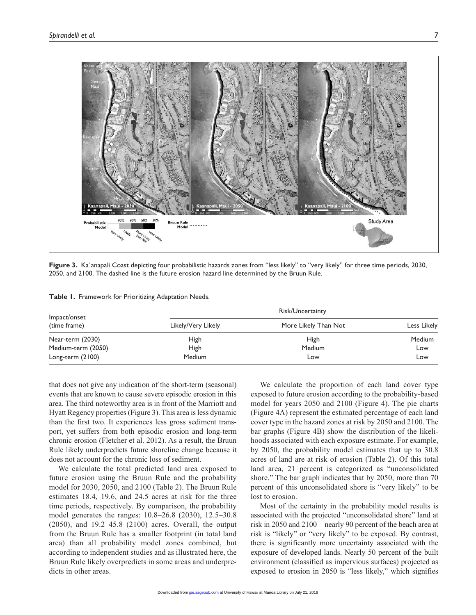

**Figure 3.** Ka`anapali Coast depicting four probabilistic hazards zones from "less likely" to "very likely" for three time periods, 2030, 2050, and 2100. The dashed line is the future erosion hazard line determined by the Bruun Rule.

|  | Table 1. Framework for Prioritizing Adaptation Needs. |  |  |  |  |
|--|-------------------------------------------------------|--|--|--|--|
|--|-------------------------------------------------------|--|--|--|--|

|                              | Risk/Uncertainty   |                      |             |  |
|------------------------------|--------------------|----------------------|-------------|--|
| Impact/onset<br>(time frame) | Likely/Very Likely | More Likely Than Not | Less Likely |  |
| Near-term (2030)             | High               | High                 | Medium      |  |
| Medium-term (2050)           | High               | Medium               | Low         |  |
| Long-term $(2100)$           | Medium             | Low                  | Low         |  |

that does not give any indication of the short-term (seasonal) events that are known to cause severe episodic erosion in this area. The third noteworthy area is in front of the Marriott and Hyatt Regency properties (Figure 3). This area is less dynamic than the first two. It experiences less gross sediment transport, yet suffers from both episodic erosion and long-term chronic erosion (Fletcher et al. 2012). As a result, the Bruun Rule likely underpredicts future shoreline change because it does not account for the chronic loss of sediment.

We calculate the total predicted land area exposed to future erosion using the Bruun Rule and the probability model for 2030, 2050, and 2100 (Table 2). The Bruun Rule estimates 18.4, 19.6, and 24.5 acres at risk for the three time periods, respectively. By comparison, the probability model generates the ranges: 10.8–26.8 (2030), 12.5–30.8 (2050), and 19.2–45.8 (2100) acres. Overall, the output from the Bruun Rule has a smaller footprint (in total land area) than all probability model zones combined, but according to independent studies and as illustrated here, the Bruun Rule likely overpredicts in some areas and underpredicts in other areas.

We calculate the proportion of each land cover type exposed to future erosion according to the probability-based model for years 2050 and 2100 (Figure 4). The pie charts (Figure 4A) represent the estimated percentage of each land cover type in the hazard zones at risk by 2050 and 2100. The bar graphs (Figure 4B) show the distribution of the likelihoods associated with each exposure estimate. For example, by 2050, the probability model estimates that up to 30.8 acres of land are at risk of erosion (Table 2). Of this total land area, 21 percent is categorized as "unconsolidated shore." The bar graph indicates that by 2050, more than 70 percent of this unconsolidated shore is "very likely" to be lost to erosion.

Most of the certainty in the probability model results is associated with the projected "unconsolidated shore" land at risk in 2050 and 2100—nearly 90 percent of the beach area at risk is "likely" or "very likely" to be exposed. By contrast, there is significantly more uncertainty associated with the exposure of developed lands. Nearly 50 percent of the built environment (classified as impervious surfaces) projected as exposed to erosion in 2050 is "less likely," which signifies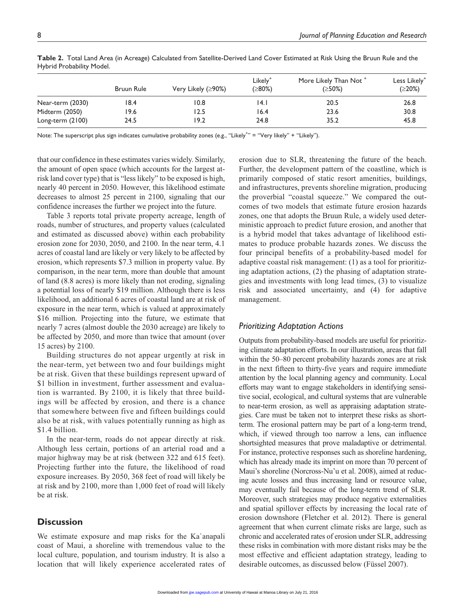|                  | <b>Bruun Rule</b> | Very Likely (≥90%) | Likely <sup>+</sup><br>(≥80%) | More Likely Than Not <sup>+</sup><br>(≥50%) | Less Likely <sup>+</sup><br>(220%) |
|------------------|-------------------|--------------------|-------------------------------|---------------------------------------------|------------------------------------|
| Near-term (2030) | 18.4              | 10.8               | 14. I                         | 20.5                                        | 26.8                               |
| Midterm (2050)   | 19.6              | 12.5               | 16.4                          | 23.6                                        | 30.8                               |
| Long-term (2100) | 24.5              | 19.2               | 24.8                          | 35.2                                        | 45.8                               |
|                  |                   |                    |                               |                                             |                                    |

**Table 2.** Total Land Area (in Acreage) Calculated from Satellite-Derived Land Cover Estimated at Risk Using the Bruun Rule and the Hybrid Probability Model.

Note: The superscript plus sign indicates cumulative probability zones (e.g., "Likely+ " = "Very likely" + "Likely").

that our confidence in these estimates varies widely. Similarly, the amount of open space (which accounts for the largest atrisk land cover type) that is "less likely" to be exposed is high, nearly 40 percent in 2050. However, this likelihood estimate decreases to almost 25 percent in 2100, signaling that our confidence increases the further we project into the future.

Table 3 reports total private property acreage, length of roads, number of structures, and property values (calculated and estimated as discussed above) within each probability erosion zone for 2030, 2050, and 2100. In the near term, 4.1 acres of coastal land are likely or very likely to be affected by erosion, which represents \$7.3 million in property value. By comparison, in the near term, more than double that amount of land (8.8 acres) is more likely than not eroding, signaling a potential loss of nearly \$19 million. Although there is less likelihood, an additional 6 acres of coastal land are at risk of exposure in the near term, which is valued at approximately \$16 million. Projecting into the future, we estimate that nearly 7 acres (almost double the 2030 acreage) are likely to be affected by 2050, and more than twice that amount (over 15 acres) by 2100.

Building structures do not appear urgently at risk in the near-term, yet between two and four buildings might be at risk. Given that these buildings represent upward of \$1 billion in investment, further assessment and evaluation is warranted. By 2100, it is likely that three buildings will be affected by erosion, and there is a chance that somewhere between five and fifteen buildings could also be at risk, with values potentially running as high as \$1.4 billion.

In the near-term, roads do not appear directly at risk. Although less certain, portions of an arterial road and a major highway may be at risk (between 322 and 615 feet). Projecting further into the future, the likelihood of road exposure increases. By 2050, 368 feet of road will likely be at risk and by 2100, more than 1,000 feet of road will likely be at risk.

# **Discussion**

We estimate exposure and map risks for the Ka`anapali coast of Maui, a shoreline with tremendous value to the local culture, population, and tourism industry. It is also a location that will likely experience accelerated rates of

erosion due to SLR, threatening the future of the beach. Further, the development pattern of the coastline, which is primarily composed of static resort amenities, buildings, and infrastructures, prevents shoreline migration, producing the proverbial "coastal squeeze." We compared the outcomes of two models that estimate future erosion hazards zones, one that adopts the Bruun Rule, a widely used deterministic approach to predict future erosion, and another that is a hybrid model that takes advantage of likelihood estimates to produce probable hazards zones. We discuss the four principal benefits of a probability-based model for adaptive coastal risk management: (1) as a tool for prioritizing adaptation actions, (2) the phasing of adaptation strategies and investments with long lead times, (3) to visualize risk and associated uncertainty, and (4) for adaptive management.

## *Prioritizing Adaptation Actions*

Outputs from probability-based models are useful for prioritizing climate adaptation efforts. In our illustration, areas that fall within the 50–80 percent probability hazards zones are at risk in the next fifteen to thirty-five years and require immediate attention by the local planning agency and community. Local efforts may want to engage stakeholders in identifying sensitive social, ecological, and cultural systems that are vulnerable to near-term erosion, as well as appraising adaptation strategies. Care must be taken not to interpret these risks as shortterm. The erosional pattern may be part of a long-term trend, which, if viewed through too narrow a lens, can influence shortsighted measures that prove maladaptive or detrimental. For instance, protective responses such as shoreline hardening, which has already made its imprint on more than 70 percent of Maui's shoreline (Norcross-Nu'u et al. 2008), aimed at reducing acute losses and thus increasing land or resource value, may eventually fail because of the long-term trend of SLR. Moreover, such strategies may produce negative externalities and spatial spillover effects by increasing the local rate of erosion downshore (Fletcher et al. 2012). There is general agreement that when current climate risks are large, such as chronic and accelerated rates of erosion under SLR, addressing these risks in combination with more distant risks may be the most effective and efficient adaptation strategy, leading to desirable outcomes, as discussed below (Füssel 2007).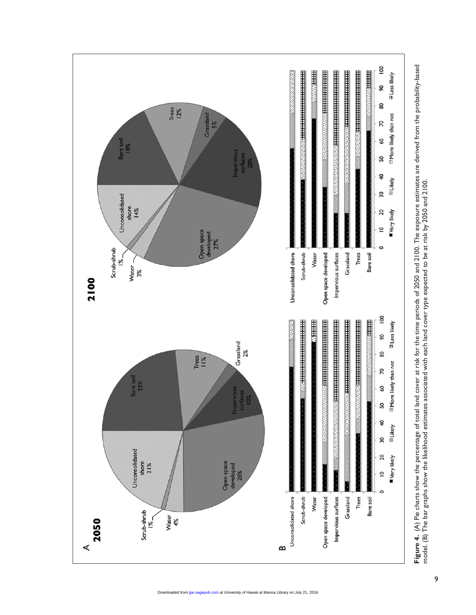

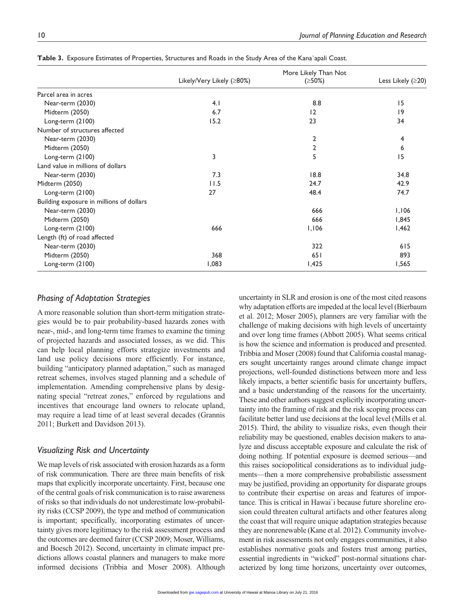|                                          |                           | More Likely Than Not |                   |
|------------------------------------------|---------------------------|----------------------|-------------------|
|                                          | Likely/Very Likely (≥80%) | (≥50%)               | Less Likely (≥20) |
| Parcel area in acres                     |                           |                      |                   |
| Near-term (2030)                         | 4.1                       | 8.8                  | 15                |
| Midterm (2050)                           | 6.7                       | 12                   | 9                 |
| Long-term $(2100)$                       | 15.2                      | 23                   | 34                |
| Number of structures affected            |                           |                      |                   |
| Near-term (2030)                         |                           | $\overline{2}$       | 4                 |
| Midterm (2050)                           |                           | $\overline{2}$       | 6                 |
| Long-term (2100)                         | 3                         | 5                    | 15                |
| Land value in millions of dollars        |                           |                      |                   |
| Near-term (2030)                         | 7.3                       | 18.8                 | 34.8              |
| Midterm (2050)                           | 11.5                      | 24.7                 | 42.9              |
| Long-term $(2100)$                       | 27                        | 48.4                 | 74.7              |
| Building exposure in millions of dollars |                           |                      |                   |
| Near-term (2030)                         |                           | 666                  | 1,106             |
| Midterm (2050)                           |                           | 666                  | 1,845             |
| Long-term $(2100)$                       | 666                       | 1,106                | 1,462             |
| Length (ft) of road affected             |                           |                      |                   |
| Near-term (2030)                         |                           | 322                  | 615               |
| Midterm (2050)                           | 368                       | 651                  | 893               |
| Long-term (2100)                         | 1,083                     | 1,425                | 1,565             |

**Table 3.** Exposure Estimates of Properties, Structures and Roads in the Study Area of the Kana`apali Coast.

#### *Phasing of Adaptation Strategies*

A more reasonable solution than short-term mitigation strategies would be to pair probability-based hazards zones with near-, mid-, and long-term time frames to examine the timing of projected hazards and associated losses, as we did. This can help local planning efforts strategize investments and land use policy decisions more efficiently. For instance, building "anticipatory planned adaptation," such as managed retreat schemes, involves staged planning and a schedule of implementation. Amending comprehensive plans by designating special "retreat zones," enforced by regulations and incentives that encourage land owners to relocate upland, may require a lead time of at least several decades (Grannis 2011; Burkett and Davidson 2013).

#### *Visualizing Risk and Uncertainty*

We map levels of risk associated with erosion hazards as a form of risk communication. There are three main benefits of risk maps that explicitly incorporate uncertainty. First, because one of the central goals of risk communication is to raise awareness of risks so that individuals do not underestimate low-probability risks (CCSP 2009), the type and method of communication is important; specifically, incorporating estimates of uncertainty gives more legitimacy to the risk assessment process and the outcomes are deemed fairer (CCSP 2009; Moser, Williams, and Boesch 2012). Second, uncertainty in climate impact predictions allows coastal planners and managers to make more informed decisions (Tribbia and Moser 2008). Although

uncertainty in SLR and erosion is one of the most cited reasons why adaptation efforts are impeded at the local level (Bierbaum et al. 2012; Moser 2005), planners are very familiar with the challenge of making decisions with high levels of uncertainty and over long time frames (Abbott 2005). What seems critical is how the science and information is produced and presented. Tribbia and Moser (2008) found that California coastal managers sought uncertainty ranges around climate change impact projections, well-founded distinctions between more and less likely impacts, a better scientific basis for uncertainty buffers, and a basic understanding of the reasons for the uncertainty. These and other authors suggest explicitly incorporating uncertainty into the framing of risk and the risk scoping process can facilitate better land use decisions at the local level (Mills et al. 2015). Third, the ability to visualize risks, even though their reliability may be questioned, enables decision makers to analyze and discuss acceptable exposure and calculate the risk of doing nothing. If potential exposure is deemed serious—and this raises sociopolitical considerations as to individual judgments—then a more comprehensive probabilistic assessment may be justified, providing an opportunity for disparate groups to contribute their expertise on areas and features of importance. This is critical in Hawai`i because future shoreline erosion could threaten cultural artifacts and other features along the coast that will require unique adaptation strategies because they are nonrenewable (Kane et al. 2012). Community involvement in risk assessments not only engages communities, it also establishes normative goals and fosters trust among parties, essential ingredients in "wicked" post-normal situations characterized by long time horizons, uncertainty over outcomes,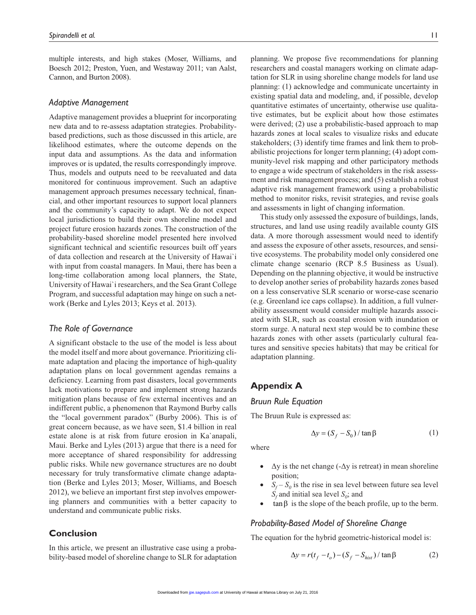multiple interests, and high stakes (Moser, Williams, and Boesch 2012; Preston, Yuen, and Westaway 2011; van Aalst, Cannon, and Burton 2008).

### *Adaptive Management*

Adaptive management provides a blueprint for incorporating new data and to re-assess adaptation strategies. Probabilitybased predictions, such as those discussed in this article, are likelihood estimates, where the outcome depends on the input data and assumptions. As the data and information improves or is updated, the results correspondingly improve. Thus, models and outputs need to be reevaluated and data monitored for continuous improvement. Such an adaptive management approach presumes necessary technical, financial, and other important resources to support local planners and the community's capacity to adapt. We do not expect local jurisdictions to build their own shoreline model and project future erosion hazards zones. The construction of the probability-based shoreline model presented here involved significant technical and scientific resources built off years of data collection and research at the University of Hawai`i with input from coastal managers. In Maui, there has been a long-time collaboration among local planners, the State, University of Hawai`i researchers, and the Sea Grant College Program, and successful adaptation may hinge on such a network (Berke and Lyles 2013; Keys et al. 2013).

#### *The Role of Governance*

A significant obstacle to the use of the model is less about the model itself and more about governance. Prioritizing climate adaptation and placing the importance of high-quality adaptation plans on local government agendas remains a deficiency. Learning from past disasters, local governments lack motivations to prepare and implement strong hazards mitigation plans because of few external incentives and an indifferent public, a phenomenon that Raymond Burby calls the "local government paradox" (Burby 2006). This is of great concern because, as we have seen, \$1.4 billion in real estate alone is at risk from future erosion in Ka`anapali, Maui. Berke and Lyles (2013) argue that there is a need for more acceptance of shared responsibility for addressing public risks. While new governance structures are no doubt necessary for truly transformative climate change adaptation (Berke and Lyles 2013; Moser, Williams, and Boesch 2012), we believe an important first step involves empowering planners and communities with a better capacity to understand and communicate public risks.

## **Conclusion**

In this article, we present an illustrative case using a probability-based model of shoreline change to SLR for adaptation planning. We propose five recommendations for planning researchers and coastal managers working on climate adaptation for SLR in using shoreline change models for land use planning: (1) acknowledge and communicate uncertainty in existing spatial data and modeling, and, if possible, develop quantitative estimates of uncertainty, otherwise use qualitative estimates, but be explicit about how those estimates were derived; (2) use a probabilistic-based approach to map hazards zones at local scales to visualize risks and educate stakeholders; (3) identify time frames and link them to probabilistic projections for longer term planning; (4) adopt community-level risk mapping and other participatory methods to engage a wide spectrum of stakeholders in the risk assessment and risk management process; and (5) establish a robust adaptive risk management framework using a probabilistic method to monitor risks, revisit strategies, and revise goals and assessments in light of changing information.

This study only assessed the exposure of buildings, lands, structures, and land use using readily available county GIS data. A more thorough assessment would need to identify and assess the exposure of other assets, resources, and sensitive ecosystems. The probability model only considered one climate change scenario (RCP 8.5 Business as Usual). Depending on the planning objective, it would be instructive to develop another series of probability hazards zones based on a less conservative SLR scenario or worse-case scenario (e.g. Greenland ice caps collapse). In addition, a full vulnerability assessment would consider multiple hazards associated with SLR, such as coastal erosion with inundation or storm surge. A natural next step would be to combine these hazards zones with other assets (particularly cultural features and sensitive species habitats) that may be critical for adaptation planning.

## **Appendix A**

#### *Bruun Rule Equation*

The Bruun Rule is expressed as:

$$
\Delta y = (S_f - S_0) / \tan \beta \tag{1}
$$

where

- $\Delta y$  is the net change (- $\Delta y$  is retreat) in mean shoreline position;
- $S_f S_0$  is the rise in sea level between future sea level  $S_f$  and initial sea level  $S_0$ ; and
- $\tan \beta$  is the slope of the beach profile, up to the berm.

## *Probability-Based Model of Shoreline Change*

The equation for the hybrid geometric-historical model is:

$$
\Delta y = r(t_f - t_o) - (S_f - S_{hist}) / \tan \beta \tag{2}
$$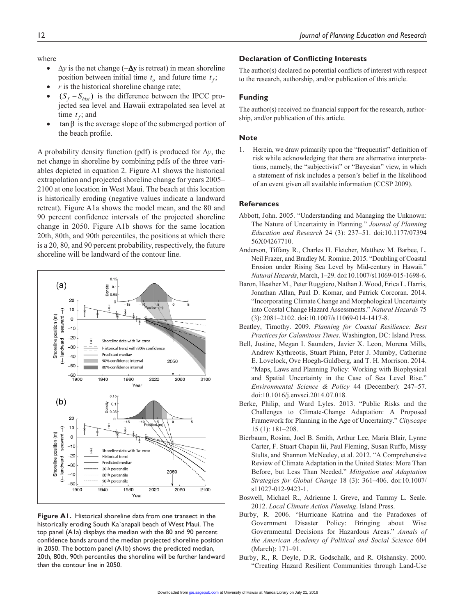#### where

- •• ∆*y* is the net change (-Δ**y** is retreat) in mean shoreline position between initial time  $t<sub>o</sub>$  and future time  $t<sub>f</sub>$ ;
- $r$  is the historical shoreline change rate;
- $(S_f S_{hist})$  is the difference between the IPCC projected sea level and Hawaii extrapolated sea level at time  $t_f$ ; and
- $\tan \beta$  is the average slope of the submerged portion of the beach profile.

A probability density function (pdf) is produced for ∆*y*, the net change in shoreline by combining pdfs of the three variables depicted in equation 2. Figure A1 shows the historical extrapolation and projected shoreline change for years 2005– 2100 at one location in West Maui. The beach at this location is historically eroding (negative values indicate a landward retreat). Figure A1a shows the model mean, and the 80 and 90 percent confidence intervals of the projected shoreline change in 2050. Figure A1b shows for the same location 20th, 80th, and 90th percentiles, the positions at which there is a 20, 80, and 90 percent probability, respectively, the future shoreline will be landward of the contour line.



**Figure A1.** Historical shoreline data from one transect in the historically eroding South Ka`anapali beach of West Maui. The top panel (A1a) displays the median with the 80 and 90 percent confidence bands around the median projected shoreline position in 2050. The bottom panel (A1b) shows the predicted median, 20th, 80th, 90th percentiles the shoreline will be further landward than the contour line in 2050.

#### **Declaration of Conflicting Interests**

The author(s) declared no potential conflicts of interest with respect to the research, authorship, and/or publication of this article.

#### **Funding**

The author(s) received no financial support for the research, authorship, and/or publication of this article.

#### **Note**

1. Herein, we draw primarily upon the "frequentist" definition of risk while acknowledging that there are alternative interpretations, namely, the "subjectivist" or "Bayesian" view, in which a statement of risk includes a person's belief in the likelihood of an event given all available information (CCSP 2009).

#### **References**

- Abbott, John. 2005. "Understanding and Managing the Unknown: The Nature of Uncertainty in Planning." *Journal of Planning Education and Research* 24 (3): 237–51. doi:10.1177/07394 56X04267710.
- Anderson, Tiffany R., Charles H. Fletcher, Matthew M. Barbee, L. Neil Frazer, and Bradley M. Romine. 2015. "Doubling of Coastal Erosion under Rising Sea Level by Mid-century in Hawaii." *Natural Hazards*, March, 1–29. doi:10.1007/s11069-015-1698-6.
- Baron, Heather M., Peter Ruggiero, Nathan J. Wood, Erica L. Harris, Jonathan Allan, Paul D. Komar, and Patrick Corcoran. 2014. "Incorporating Climate Change and Morphological Uncertainty into Coastal Change Hazard Assessments." *Natural Hazards* 75 (3): 2081–2102. doi:10.1007/s11069-014-1417-8.
- Beatley, Timothy. 2009. *Planning for Coastal Resilience: Best Practices for Calamitous Times*. Washington, DC: Island Press.
- Bell, Justine, Megan I. Saunders, Javier X. Leon, Morena Mills, Andrew Kythreotis, Stuart Phinn, Peter J. Mumby, Catherine E. Lovelock, Ove Hoegh-Guldberg, and T. H. Morrison. 2014. "Maps, Laws and Planning Policy: Working with Biophysical and Spatial Uncertainty in the Case of Sea Level Rise." *Environmental Science & Policy* 44 (December): 247–57. doi:10.1016/j.envsci.2014.07.018.
- Berke, Philip, and Ward Lyles. 2013. "Public Risks and the Challenges to Climate-Change Adaptation: A Proposed Framework for Planning in the Age of Uncertainty." *Cityscape* 15 (1): 181–208.
- Bierbaum, Rosina, Joel B. Smith, Arthur Lee, Maria Blair, Lynne Carter, F. Stuart Chapin Iii, Paul Fleming, Susan Ruffo, Missy Stults, and Shannon McNeeley, et al. 2012. "A Comprehensive Review of Climate Adaptation in the United States: More Than Before, but Less Than Needed." *Mitigation and Adaptation Strategies for Global Change* 18 (3): 361–406. doi:10.1007/ s11027-012-9423-1.
- Boswell, Michael R., Adrienne I. Greve, and Tammy L. Seale. 2012. *Local Climate Action Planning*. Island Press.
- Burby, R. 2006. "Hurricane Katrina and the Paradoxes of Government Disaster Policy: Bringing about Wise Governmental Decisions for Hazardous Areas." *Annals of the American Academy of Political and Social Science* 604 (March): 171–91.
- Burby, R., R. Deyle, D.R. Godschalk, and R. Olshansky. 2000. "Creating Hazard Resilient Communities through Land-Use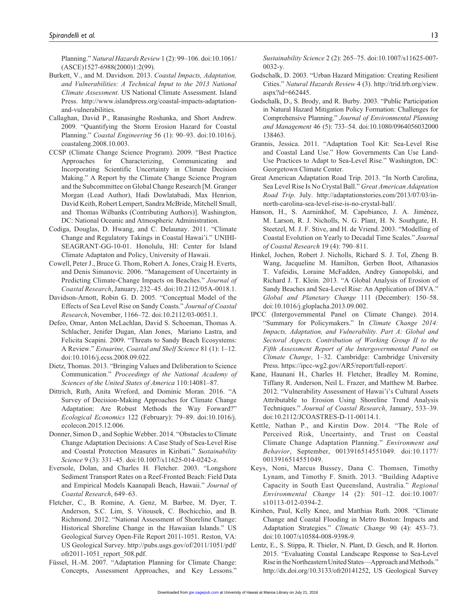Planning." *Natural Hazards Review* 1 (2): 99–106. doi:10.1061/ (ASCE)1527-6988(2000)1:2(99).

- Burkett, V., and M. Davidson. 2013. *Coastal Impacts, Adaptation, and Vulnerabilities: A Technical Input to the 2013 National Climate Assessment*. US National Climate Assessment. Island Press. http://www.islandpress.org/coastal-impacts-adaptationand-vulnerabilities.
- Callaghan, David P., Ranasinghe Roshanka, and Short Andrew. 2009. "Quantifying the Storm Erosion Hazard for Coastal Planning." *Coastal Engineering* 56 (1): 90–93. doi:10.1016/j. coastaleng.2008.10.003.
- CCSP (Climate Change Science Program). 2009. "Best Practice Approaches for Characterizing, Communicating and Incorporating Scientific Uncertainty in Climate Decision Making." A Report by the Climate Change Science Program and the Subcommittee on Global Change Research [M. Granger Morgan (Lead Author), Hadi Dowlatabadi, Max Henrion, David Keith, Robert Lempert, Sandra McBride, Mitchell Small, and Thomas Wilbanks (Contributing Authors)]. Washington, DC: National Oceanic and Atmospheric Administration.
- Codiga, Douglas, D. Hwang, and C. Delaunay. 2011. "Climate Change and Regulatory Takings in Coastal Hawai'i." UNIHI-SEAGRANT-GG-10-01. Honolulu, HI: Center for Island Climate Adaptaton and Policy, University of Hawaii.
- Cowell, Peter J., Bruce G. Thom, Robert A. Jones, Craig H. Everts, and Denis Simanovic. 2006. "Management of Uncertainty in Predicting Climate-Change Impacts on Beaches." *Journal of Coastal Research*, January, 232–45. doi:10.2112/05A-0018.1.
- Davidson-Arnott, Robin G. D. 2005. "Conceptual Model of the Effects of Sea Level Rise on Sandy Coasts." *Journal of Coastal Research*, November, 1166–72. doi:10.2112/03-0051.1.
- Defeo, Omar, Anton McLachlan, David S. Schoeman, Thomas A. Schlacher, Jenifer Dugan, Alan Jones, Mariano Lastra, and Felicita Scapini. 2009. "Threats to Sandy Beach Ecosystems: A Review." *Estuarine, Coastal and Shelf Science* 81 (1): 1–12. doi:10.1016/j.ecss.2008.09.022.
- Dietz, Thomas. 2013. "Bringing Values and Deliberation to Science Communication." *Proceedings of the National Academy of Sciences of the United States of America* 110:14081–87.
- Dittrich, Ruth, Anita Wreford, and Dominic Moran. 2016. "A Survey of Decision-Making Approaches for Climate Change Adaptation: Are Robust Methods the Way Forward?" *Ecological Economics* 122 (February): 79–89. doi:10.1016/j. ecolecon.2015.12.006.
- Donner, Simon D., and Sophie Webber. 2014. "Obstacles to Climate Change Adaptation Decisions: A Case Study of Sea-Level Rise and Coastal Protection Measures in Kiribati." *Sustainability Science* 9 (3): 331–45. doi:10.1007/s11625-014-0242-z.
- Eversole, Dolan, and Charles H. Fletcher. 2003. "Longshore Sediment Transport Rates on a Reef-Fronted Beach: Field Data and Empirical Models Kaanapali Beach, Hawaii." *Journal of Coastal Research*, 649–63.
- Fletcher, C., B. Romine, A. Genz, M. Barbee, M. Dyer, T. Anderson, S.C. Lim, S. Vitousek, C. Bochicchio, and B. Richmond. 2012. "National Assessment of Shoreline Change: Historical Shoreline Change in the Hawaiian Islands." US Geological Survey Open-File Report 2011-1051. Reston, VA: US Geological Survey. http://pubs.usgs.gov/of/2011/1051/pdf/ ofr2011-1051\_report\_508.pdf.
- Füssel, H.-M. 2007. "Adaptation Planning for Climate Change: Concepts, Assessment Approaches, and Key Lessons."

*Sustainability Science* 2 (2): 265–75. doi:10.1007/s11625-007- 0032-y.

- Godschalk, D. 2003. "Urban Hazard Mitigation: Creating Resilient Cities." *Natural Hazards Review* 4 (3). http://trid.trb.org/view. aspx?id=662445.
- Godschalk, D., S. Brody, and R. Burby. 2003. "Public Participation in Natural Hazard Mitigation Policy Formation: Challenges for Comprehensive Planning." *Journal of Environmental Planning and Management* 46 (5): 733–54. doi:10.1080/0964056032000 138463.
- Grannis, Jessica. 2011. "Adaptation Tool Kit: Sea-Level Rise and Coastal Land Use." How Governments Can Use Land-Use Practices to Adapt to Sea-Level Rise." Washington, DC: Georgetown Climate Center.
- Great American Adaptation Road Trip. 2013. "In North Carolina, Sea Level Rise Is No Crystal Ball." *Great American Adaptation Road Trip*. July. http://adaptationstories.com/2013/07/03/innorth-carolina-sea-level-rise-is-no-crystal-ball/.
- Hanson, H., S. Aarninkhof, M. Capobianco, J. A. Jiménez, M. Larson, R. J. Nicholls, N. G. Plant, H. N. Southgate, H. Steetzel, M. J. F. Stive, and H. de Vriend. 2003. "Modelling of Coastal Evolution on Yearly to Decadal Time Scales." *Journal of Coastal Research* 19 (4): 790–811.
- Hinkel, Jochen, Robert J. Nicholls, Richard S. J. Tol, Zheng B. Wang, Jacqueline M. Hamilton, Gerben Boot, Athanasios T. Vafeidis, Loraine McFadden, Andrey Ganopolski, and Richard J. T. Klein. 2013. "A Global Analysis of Erosion of Sandy Beaches and Sea-Level Rise: An Application of DIVA." *Global and Planetary Change* 111 (December): 150–58. doi:10.1016/j.gloplacha.2013.09.002.
- IPCC (Intergovernmental Panel on Climate Change). 2014. "Summary for Policymakers." In *Climate Change 2014: Impacts, Adaptation, and Vulnerability. Part A: Global and Sectoral Aspects. Contribution of Working Group II to the Fifth Assessment Report of the Intergovernmental Panel on Climate Change*, 1–32. Cambridge: Cambridge University Press. https://ipcc-wg2.gov/AR5/report/full-report/.
- Kane, Haunani H., Charles H. Fletcher, Bradley M. Romine, Tiffany R. Anderson, Neil L. Frazer, and Matthew M. Barbee. 2012. "Vulnerability Assessment of Hawai'i's Cultural Assets Attributable to Erosion Using Shoreline Trend Analysis Techniques." *Journal of Coastal Research*, January, 533–39. doi:10.2112/JCOASTRES-D-11-00114.1.
- Kettle, Nathan P., and Kirstin Dow. 2014. "The Role of Perceived Risk, Uncertainty, and Trust on Coastal Climate Change Adaptation Planning." *Environment and Behavior*, September, 0013916514551049. doi:10.1177/ 0013916514551049.
- Keys, Noni, Marcus Bussey, Dana C. Thomsen, Timothy Lynam, and Timothy F. Smith. 2013. "Building Adaptive Capacity in South East Queensland, Australia." *Regional Environmental Change* 14 (2): 501–12. doi:10.1007/ s10113-012-0394-2.
- Kirshen, Paul, Kelly Knee, and Matthias Ruth. 2008. "Climate Change and Coastal Flooding in Metro Boston: Impacts and Adaptation Strategies." *Climatic Change* 90 (4): 453–73. doi:10.1007/s10584-008-9398-9.
- Lentz, E., S. Stippa, R. Thieler, N. Plant, D. Gesch, and R. Horton. 2015. "Evaluating Coastal Landscape Response to Sea-Level Rise in the Northeastern United States—Approach and Methods." http://dx.doi.org/10.3133/ofr20141252, US Geological Survey